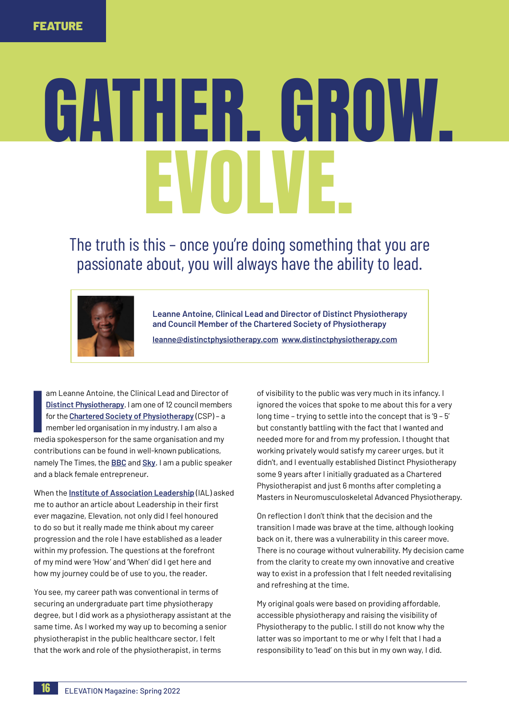## GATHER. GROW. EVOLVE.

The truth is this – once you're doing something that you are passionate about, you will always have the ability to lead.



**Leanne Antoine, Clinical Lead and Director of Distinct Physiotherapy and Council Member of the Chartered Society of Physiotherapy**

**leanne@distinctphysiotherapy.com www.distinctphysiotherapy.com**

am Learnie Antonie, the Chincal Lead and Director of<br>Distinct Physiotherapy. I am one of 12 council member<br>for the Chartered Society of Physiotherapy (CSP) – a<br>member led organisation in my industry. I am also a<br>media spok am Leanne Antoine, the Clinical Lead and Director of **[Distinct Physiotherapy](http://www.distinctphysiotherapy.com/)**. I am one of 12 council members for the **[Chartered Society of Physiotherapy](https://www.csp.org.uk/)** (CSP) – a member led organisation in my industry. I am also a contributions can be found in well-known publications, namely The Times, the **[BBC](https://www.bbc.co.uk/)** and **[Sky](https://news.sky.com/)**. I am a public speaker and a black female entrepreneur.

When the **[Institute of Association Leadership](https://theial.org/)** (IAL) asked me to author an article about Leadership in their first ever magazine, Elevation, not only did I feel honoured to do so but it really made me think about my career progression and the role I have established as a leader within my profession. The questions at the forefront of my mind were 'How' and 'When' did I get here and how my journey could be of use to you, the reader.

You see, my career path was conventional in terms of securing an undergraduate part time physiotherapy degree, but I did work as a physiotherapy assistant at the same time. As I worked my way up to becoming a senior physiotherapist in the public healthcare sector, I felt that the work and role of the physiotherapist, in terms

of visibility to the public was very much in its infancy. I ignored the voices that spoke to me about this for a very long time – trying to settle into the concept that is '9 – 5' but constantly battling with the fact that I wanted and needed more for and from my profession. I thought that working privately would satisfy my career urges, but it didn't, and I eventually established Distinct Physiotherapy some 9 years after I initially graduated as a Chartered Physiotherapist and just 6 months after completing a Masters in Neuromusculoskeletal Advanced Physiotherapy.

On reflection I don't think that the decision and the transition I made was brave at the time, although looking back on it, there was a vulnerability in this career move. There is no courage without vulnerability. My decision came from the clarity to create my own innovative and creative way to exist in a profession that I felt needed revitalising and refreshing at the time.

My original goals were based on providing affordable, accessible physiotherapy and raising the visibility of Physiotherapy to the public. I still do not know why the latter was so important to me or why I felt that I had a responsibility to 'lead' on this but in my own way, I did.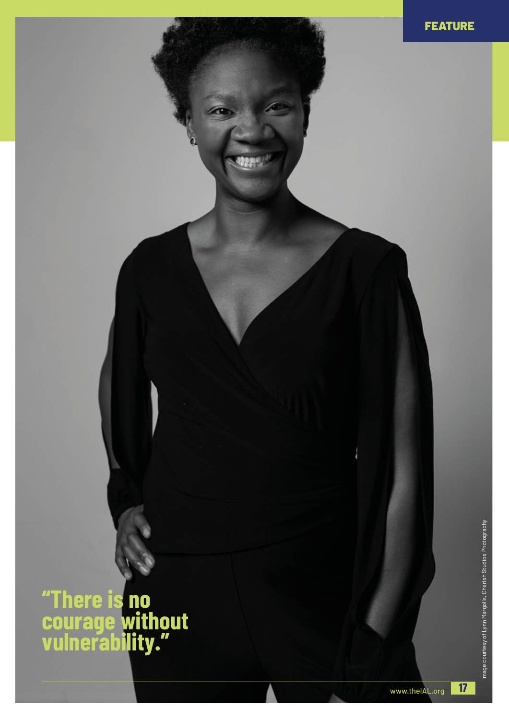**"There is no courage without vulnerability."**